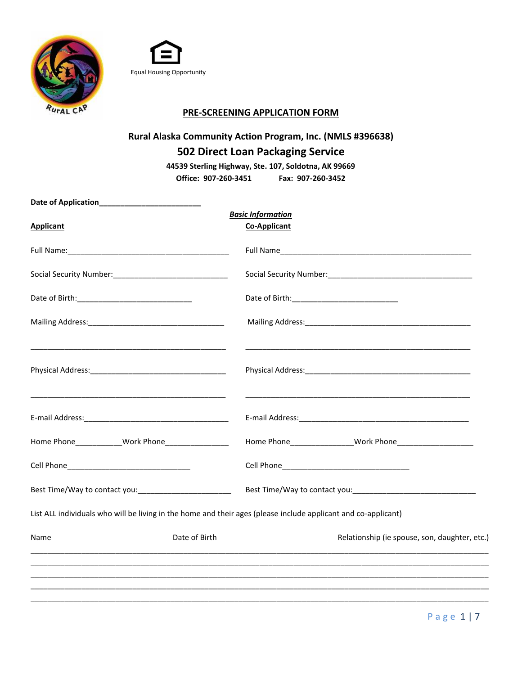



## **PRE-SCREENING APPLICATION FORM**

# **Rural Alaska Community Action Program, Inc. (NMLS #396638) 502 Direct Loan Packaging Service**

**44539 Sterling Highway, Ste. 107, Soldotna, AK 99669 Office: 907-260-3451 Fax: 907-260-3452**

| <b>Applicant</b>                                                                                                      | <b>Basic Information</b><br><b>Co-Applicant</b>                                                                |
|-----------------------------------------------------------------------------------------------------------------------|----------------------------------------------------------------------------------------------------------------|
|                                                                                                                       |                                                                                                                |
|                                                                                                                       |                                                                                                                |
|                                                                                                                       |                                                                                                                |
|                                                                                                                       |                                                                                                                |
|                                                                                                                       |                                                                                                                |
| <u> 1989 - Johann Stoff, deutscher Stoff, der Stoff, der Stoff, der Stoff, der Stoff, der Stoff, der Stoff, der S</u> | <u> 1989 - Jan Barnett, fransk politik (d. 1989)</u>                                                           |
|                                                                                                                       |                                                                                                                |
|                                                                                                                       |                                                                                                                |
| Best Time/Way to contact you: _________________________                                                               |                                                                                                                |
|                                                                                                                       | List ALL individuals who will be living in the home and their ages (please include applicant and co-applicant) |
| Name                                                                                                                  | Date of Birth<br>Relationship (ie spouse, son, daughter, etc.)                                                 |
|                                                                                                                       |                                                                                                                |
|                                                                                                                       |                                                                                                                |
|                                                                                                                       |                                                                                                                |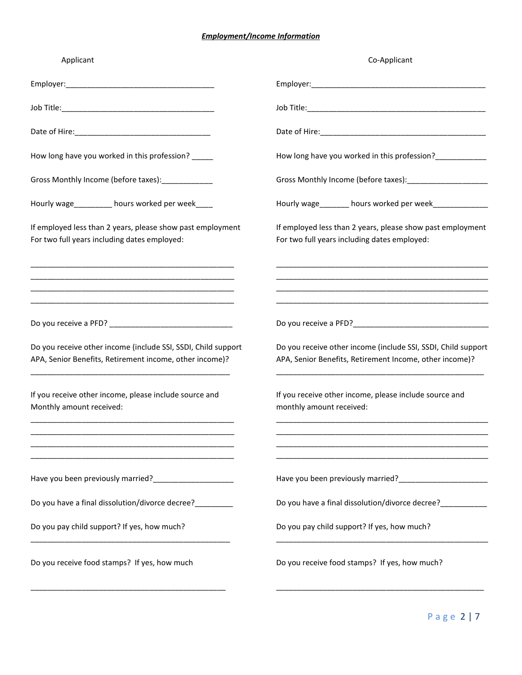#### *Employment/Income Information*

| Applicant                                                                                                                                                                                                                                      | Co-Applicant                                                                                                             |
|------------------------------------------------------------------------------------------------------------------------------------------------------------------------------------------------------------------------------------------------|--------------------------------------------------------------------------------------------------------------------------|
|                                                                                                                                                                                                                                                |                                                                                                                          |
|                                                                                                                                                                                                                                                |                                                                                                                          |
|                                                                                                                                                                                                                                                |                                                                                                                          |
| How long have you worked in this profession?                                                                                                                                                                                                   | How long have you worked in this profession?_____________                                                                |
| Gross Monthly Income (before taxes):______________                                                                                                                                                                                             |                                                                                                                          |
| Hourly wage_________ hours worked per week____                                                                                                                                                                                                 | Hourly wage_______ hours worked per week_____________                                                                    |
| If employed less than 2 years, please show past employment<br>For two full years including dates employed:                                                                                                                                     | If employed less than 2 years, please show past employment<br>For two full years including dates employed:               |
| <u> 1980 - Johann John Stone, markin film yn y brening yn y brening yn y brening yn y brening yn y brening yn y b</u><br><u> 1989 - Johann John Stone, mensk politik foar it fan it fan it fan it fan it fan it fan it fan it fan it fan i</u> |                                                                                                                          |
| <u> 1989 - Johann Barn, amerikan bertakar pendangan bertama dalam bertama dalam bertama dalam bertama dalam berta</u>                                                                                                                          |                                                                                                                          |
| Do you receive other income (include SSI, SSDI, Child support<br>APA, Senior Benefits, Retirement income, other income)?                                                                                                                       | Do you receive other income (include SSI, SSDI, Child support<br>APA, Senior Benefits, Retirement Income, other income)? |
| If you receive other income, please include source and<br>Monthly amount received:                                                                                                                                                             | If you receive other income, please include source and<br>monthly amount received:                                       |
| <u> 1989 - Johann Harry Harry Harry Harry Harry Harry Harry Harry Harry Harry Harry Harry Harry Harry Harry Harry</u>                                                                                                                          |                                                                                                                          |
|                                                                                                                                                                                                                                                |                                                                                                                          |
| Do you have a final dissolution/divorce decree?                                                                                                                                                                                                | Do you have a final dissolution/divorce decree?___________                                                               |
| Do you pay child support? If yes, how much?                                                                                                                                                                                                    | Do you pay child support? If yes, how much?                                                                              |
| Do you receive food stamps? If yes, how much                                                                                                                                                                                                   | Do you receive food stamps? If yes, how much?                                                                            |
|                                                                                                                                                                                                                                                |                                                                                                                          |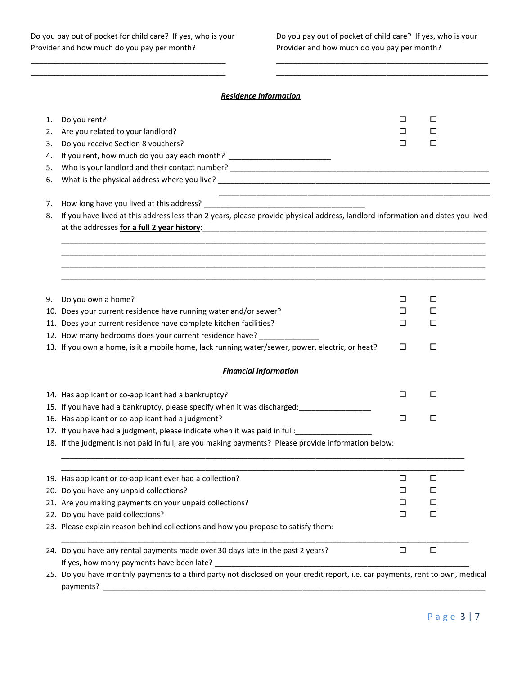#### *Residence Information*

 $\overline{a}$  , and the contribution of the contribution of the contribution of the contribution of the contribution of the contribution of the contribution of the contribution of the contribution of the contribution of the co  $\overline{a}$  , and the contribution of the contribution of the contribution of the contribution of the contribution of the contribution of the contribution of the contribution of the contribution of the contribution of the co

| 1.<br>2.<br>3. | Do you rent?<br>Are you related to your landlord?<br>Do you receive Section 8 vouchers?                                                     | □<br>□<br>□ | □<br>□<br>□ |  |
|----------------|---------------------------------------------------------------------------------------------------------------------------------------------|-------------|-------------|--|
| 4.<br>5.       | If you rent, how much do you pay each month? ___________________________________                                                            |             |             |  |
| 6.             |                                                                                                                                             |             |             |  |
|                |                                                                                                                                             |             |             |  |
| 7.             |                                                                                                                                             |             |             |  |
| 8.             | If you have lived at this address less than 2 years, please provide physical address, landlord information and dates you lived              |             |             |  |
|                | at the addresses for a full 2 year history:<br>at the addresses for a full 2 year history:                                                  |             |             |  |
|                |                                                                                                                                             |             |             |  |
|                |                                                                                                                                             |             |             |  |
|                |                                                                                                                                             |             |             |  |
|                |                                                                                                                                             |             |             |  |
| 9.             | Do you own a home?                                                                                                                          | □           | □           |  |
|                | 10. Does your current residence have running water and/or sewer?                                                                            | □           | □           |  |
|                | 11. Does your current residence have complete kitchen facilities?                                                                           | □           | □           |  |
|                | 12. How many bedrooms does your current residence have? ____________                                                                        |             |             |  |
|                | 13. If you own a home, is it a mobile home, lack running water/sewer, power, electric, or heat?                                             | □           | □           |  |
|                |                                                                                                                                             |             |             |  |
|                | <b>Financial Information</b>                                                                                                                |             |             |  |
|                |                                                                                                                                             |             |             |  |
|                | 14. Has applicant or co-applicant had a bankruptcy?                                                                                         | □           | □           |  |
|                | 15. If you have had a bankruptcy, please specify when it was discharged: ___________________________                                        |             |             |  |
|                | 16. Has applicant or co-applicant had a judgment?                                                                                           | □           | □           |  |
|                | 17. If you have had a judgment, please indicate when it was paid in full:                                                                   |             |             |  |
|                | 18. If the judgment is not paid in full, are you making payments? Please provide information below:                                         |             |             |  |
|                |                                                                                                                                             |             |             |  |
|                | 19. Has applicant or co-applicant ever had a collection?                                                                                    | □           | $\Box$      |  |
|                | 20. Do you have any unpaid collections?                                                                                                     | $\Box$      | $\Box$      |  |
|                | 21. Are you making payments on your unpaid collections?                                                                                     | □           | □           |  |
|                | 22. Do you have paid collections?                                                                                                           | □           | □           |  |
|                | 23. Please explain reason behind collections and how you propose to satisfy them:                                                           |             |             |  |
|                | 24. Do you have any rental payments made over 30 days late in the past 2 years?                                                             | $\Box$      | $\Box$      |  |
|                | If yes, how many payments have been late?                                                                                                   |             |             |  |
|                | 25. Do you have monthly payments to a third party not disclosed on your credit report, i.e. car payments, rent to own, medical<br>payments? |             |             |  |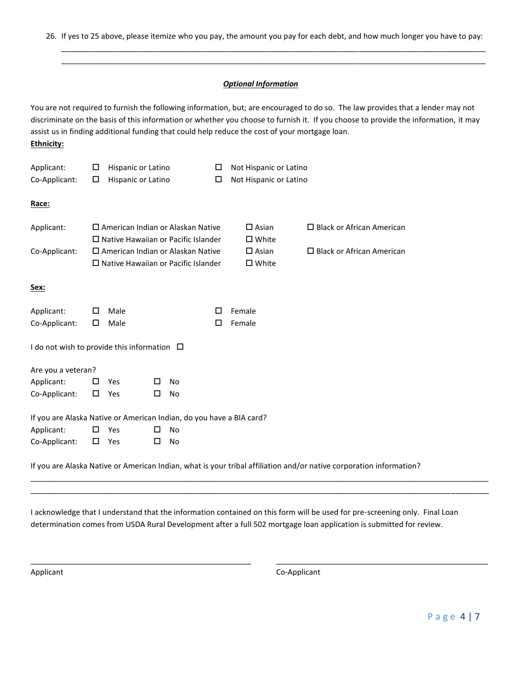26. If yes to 25 above, please itemize who you pay, the amount you pay for each debt, and how much longer you have to pay:

\_\_\_\_\_\_\_\_\_\_\_\_\_\_\_\_\_\_\_\_\_\_\_\_\_\_\_\_\_\_\_\_\_\_\_\_\_\_\_\_\_\_\_\_\_\_\_\_\_\_\_\_\_\_\_\_\_\_\_\_\_\_\_\_\_\_\_\_\_\_\_\_\_\_\_\_\_\_\_\_\_\_\_\_\_\_\_\_\_\_\_\_\_\_\_\_\_\_\_\_ \_\_\_\_\_\_\_\_\_\_\_\_\_\_\_\_\_\_\_\_\_\_\_\_\_\_\_\_\_\_\_\_\_\_\_\_\_\_\_\_\_\_\_\_\_\_\_\_\_\_\_\_\_\_\_\_\_\_\_\_\_\_\_\_\_\_\_\_\_\_\_\_\_\_\_\_\_\_\_\_\_\_\_\_\_\_\_\_\_\_\_\_\_\_\_\_\_\_\_\_

#### *Optional Information*

You are not required to furnish the following information, but; are encouraged to do so. The law provides that a lender may not discriminate on the basis of this information or whether you choose to furnish it. If you choose to provide the information, it may assist us in finding additional funding that could help reduce the cost of your mortgage loan. **Ethnicity:**

| Applicant:<br>Co-Applicant:                                          | □<br>□                                                                                    | Hispanic or Latino<br>Hispanic or Latino                                               |   |           | □<br>□                             | Not Hispanic or Latino<br>Not Hispanic or Latino |                                  |
|----------------------------------------------------------------------|-------------------------------------------------------------------------------------------|----------------------------------------------------------------------------------------|---|-----------|------------------------------------|--------------------------------------------------|----------------------------------|
| Race:                                                                |                                                                                           |                                                                                        |   |           |                                    |                                                  |                                  |
| Applicant:                                                           | $\square$ American Indian or Alaskan Native<br>$\Box$ Native Hawaiian or Pacific Islander |                                                                                        |   |           | $\square$ Asian<br>$\square$ White | $\Box$ Black or African American                 |                                  |
| Co-Applicant:                                                        |                                                                                           | $\Box$ American Indian or Alaskan Native<br>$\Box$ Native Hawaiian or Pacific Islander |   |           |                                    | $\square$ Asian<br>□ White                       | $\Box$ Black or African American |
| <u>Sex:</u>                                                          |                                                                                           |                                                                                        |   |           |                                    |                                                  |                                  |
| Applicant:<br>Co-Applicant:                                          | □<br>□                                                                                    | Male<br>Male                                                                           |   |           | □<br>□                             | Female<br>Female                                 |                                  |
| I do not wish to provide this information $\Box$                     |                                                                                           |                                                                                        |   |           |                                    |                                                  |                                  |
| Are you a veteran?                                                   |                                                                                           |                                                                                        |   |           |                                    |                                                  |                                  |
| Applicant:                                                           | □                                                                                         | Yes                                                                                    | □ | <b>No</b> |                                    |                                                  |                                  |
| Co-Applicant:                                                        | □                                                                                         | Yes                                                                                    | □ | No        |                                    |                                                  |                                  |
| If you are Alaska Native or American Indian, do you have a BIA card? |                                                                                           |                                                                                        |   |           |                                    |                                                  |                                  |
| Applicant:                                                           | □                                                                                         | Yes                                                                                    | □ | <b>No</b> |                                    |                                                  |                                  |
| Co-Applicant:                                                        | □                                                                                         | Yes                                                                                    | □ | No        |                                    |                                                  |                                  |

If you are Alaska Native or American Indian, what is your tribal affiliation and/or native corporation information?

I acknowledge that I understand that the information contained on this form will be used for pre-screening only. Final Loan determination comes from USDA Rural Development after a full 502 mortgage loan application is submitted for review.

\_\_\_\_\_\_\_\_\_\_\_\_\_\_\_\_\_\_\_\_\_\_\_\_\_\_\_\_\_\_\_\_\_\_\_\_\_\_\_\_\_\_\_\_\_\_\_\_\_\_\_\_\_\_\_\_\_\_\_\_\_\_\_\_\_\_\_\_\_\_\_\_\_\_\_\_\_\_\_\_\_\_\_\_\_\_\_\_\_\_\_\_\_\_\_\_\_\_\_\_\_\_\_\_\_\_\_\_ \_\_\_\_\_\_\_\_\_\_\_\_\_\_\_\_\_\_\_\_\_\_\_\_\_\_\_\_\_\_\_\_\_\_\_\_\_\_\_\_\_\_\_\_\_\_\_\_\_\_\_\_\_\_\_\_\_\_\_\_\_\_\_\_\_\_\_\_\_\_\_\_\_\_\_\_\_\_\_\_\_\_\_\_\_\_\_\_\_\_\_\_\_\_\_\_\_\_\_\_\_\_\_\_\_\_\_\_

\_\_\_\_\_\_\_\_\_\_\_\_\_\_\_\_\_\_\_\_\_\_\_\_\_\_\_\_\_\_\_\_\_\_\_\_\_\_\_\_\_\_\_\_\_\_\_\_\_\_\_\_ \_\_\_\_\_\_\_\_\_\_\_\_\_\_\_\_\_\_\_\_\_\_\_\_\_\_\_\_\_\_\_\_\_\_\_\_\_\_\_\_\_\_\_\_\_\_\_\_\_\_

Applicant Co-Applicant Co-Applicant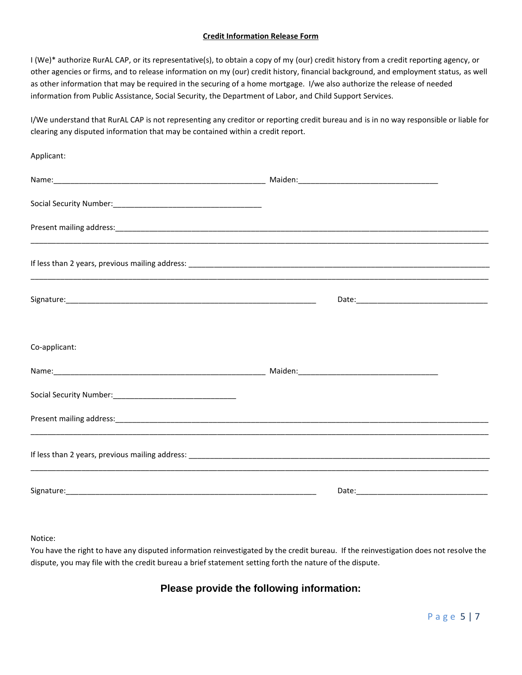#### **Credit Information Release Form**

I (We)\* authorize RurAL CAP, or its representative(s), to obtain a copy of my (our) credit history from a credit reporting agency, or other agencies or firms, and to release information on my (our) credit history, financial background, and employment status, as well as other information that may be required in the securing of a home mortgage. I/we also authorize the release of needed information from Public Assistance, Social Security, the Department of Labor, and Child Support Services.

I/We understand that RurAL CAP is not representing any creditor or reporting credit bureau and is in no way responsible or liable for clearing any disputed information that may be contained within a credit report.

| Applicant:    |  |
|---------------|--|
|               |  |
|               |  |
|               |  |
|               |  |
|               |  |
| Co-applicant: |  |
|               |  |
|               |  |
|               |  |
|               |  |
|               |  |

#### Notice:

You have the right to have any disputed information reinvestigated by the credit bureau. If the reinvestigation does not resolve the dispute, you may file with the credit bureau a brief statement setting forth the nature of the dispute.

### **Please provide the following information:**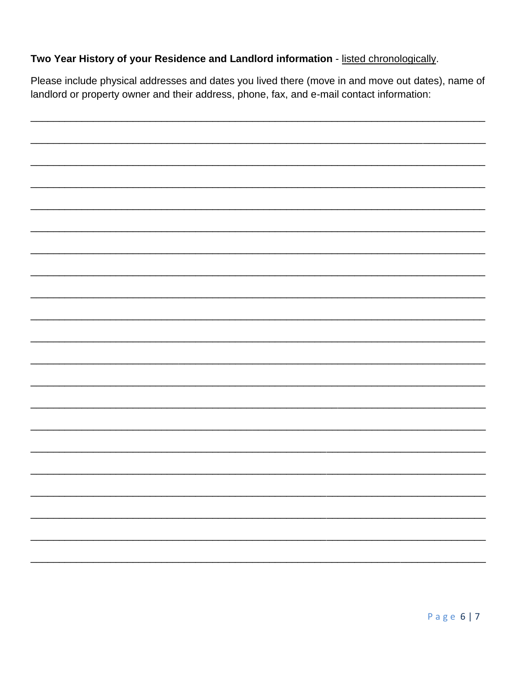## Two Year History of your Residence and Landlord information - listed chronologically.

Please include physical addresses and dates you lived there (move in and move out dates), name of landlord or property owner and their address, phone, fax, and e-mail contact information: